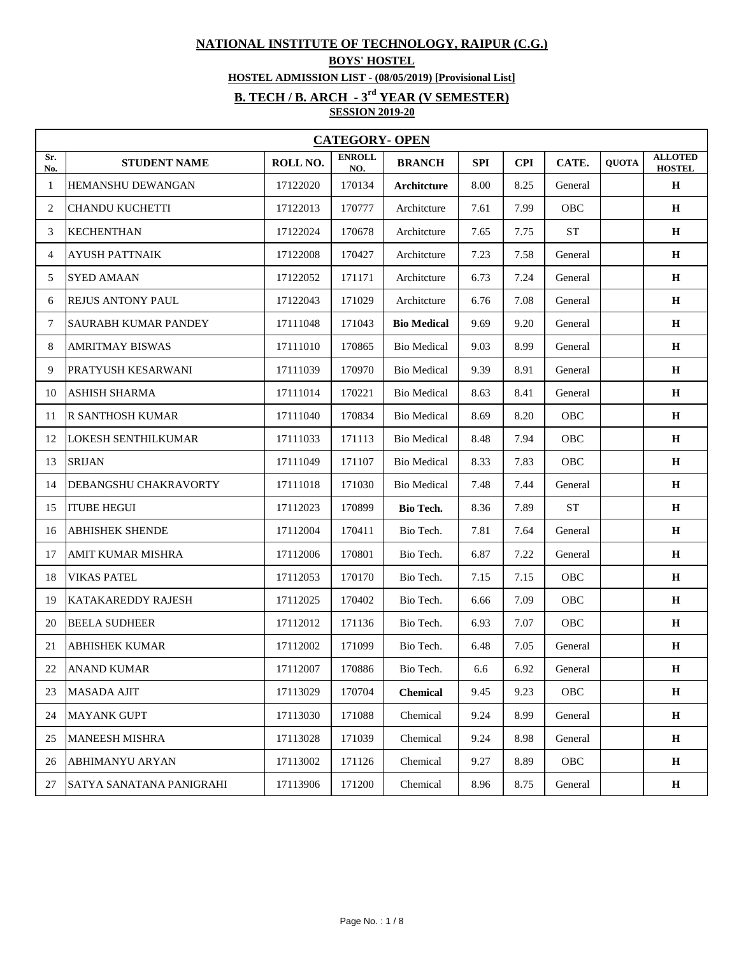## **NATIONAL INSTITUTE OF TECHNOLOGY, RAIPUR (C.G.)**

## **BOYS' HOSTEL**

**HOSTEL ADMISSION LIST - (08/05/2019) [Provisional List]**

## **B. TECH / B. ARCH - 3rd YEAR (V SEMESTER)**

**SESSION 2019-20**

|            | <b>CATEGORY- OPEN</b>           |          |                      |                    |      |            |            |              |                                 |  |  |
|------------|---------------------------------|----------|----------------------|--------------------|------|------------|------------|--------------|---------------------------------|--|--|
| Sr.<br>No. | <b>STUDENT NAME</b>             | ROLL NO. | <b>ENROLL</b><br>NO. | <b>BRANCH</b>      | SPI  | <b>CPI</b> | CATE.      | <b>QUOTA</b> | <b>ALLOTED</b><br><b>HOSTEL</b> |  |  |
| 1          | HEMANSHU DEWANGAN               | 17122020 | 170134               | Architcture        | 8.00 | 8.25       | General    |              | $\mathbf H$                     |  |  |
| 2          | <b>CHANDU KUCHETTI</b>          | 17122013 | 170777               | Architcture        | 7.61 | 7.99       | <b>OBC</b> |              | H                               |  |  |
| 3          | <b>KECHENTHAN</b>               | 17122024 | 170678               | Architcture        | 7.65 | 7.75       | <b>ST</b>  |              | $\mathbf H$                     |  |  |
| 4          | <b>AYUSH PATTNAIK</b>           | 17122008 | 170427               | Architcture        | 7.23 | 7.58       | General    |              | H                               |  |  |
| 5          | <b>SYED AMAAN</b>               | 17122052 | 171171               | Architcture        | 6.73 | 7.24       | General    |              | H                               |  |  |
| 6          | REJUS ANTONY PAUL               | 17122043 | 171029               | Architcture        | 6.76 | 7.08       | General    |              | $\bf H$                         |  |  |
| 7          | <b>SAURABH KUMAR PANDEY</b>     | 17111048 | 171043               | <b>Bio Medical</b> | 9.69 | 9.20       | General    |              | $\mathbf H$                     |  |  |
| 8          | <b>AMRITMAY BISWAS</b>          | 17111010 | 170865               | <b>Bio Medical</b> | 9.03 | 8.99       | General    |              | $\mathbf H$                     |  |  |
| 9          | <b>PRATYUSH KESARWANI</b>       | 17111039 | 170970               | <b>Bio Medical</b> | 9.39 | 8.91       | General    |              | $\mathbf H$                     |  |  |
| 10         | <b>ASHISH SHARMA</b>            | 17111014 | 170221               | <b>Bio Medical</b> | 8.63 | 8.41       | General    |              | H                               |  |  |
| 11         | R SANTHOSH KUMAR                | 17111040 | 170834               | <b>Bio Medical</b> | 8.69 | 8.20       | <b>OBC</b> |              | $\mathbf H$                     |  |  |
| 12         | LOKESH SENTHILKUMAR             | 17111033 | 171113               | <b>Bio Medical</b> | 8.48 | 7.94       | OBC        |              | $\mathbf H$                     |  |  |
| 13         | <b>SRIJAN</b>                   | 17111049 | 171107               | <b>Bio Medical</b> | 8.33 | 7.83       | OBC        |              | $\mathbf H$                     |  |  |
| 14         | DEBANGSHU CHAKRAVORTY           | 17111018 | 171030               | <b>Bio Medical</b> | 7.48 | 7.44       | General    |              | $\mathbf H$                     |  |  |
| 15         | <b>ITUBE HEGUI</b>              | 17112023 | 170899               | Bio Tech.          | 8.36 | 7.89       | <b>ST</b>  |              | $\mathbf H$                     |  |  |
| 16         | <b>ABHISHEK SHENDE</b>          | 17112004 | 170411               | Bio Tech.          | 7.81 | 7.64       | General    |              | H                               |  |  |
| 17         | AMIT KUMAR MISHRA               | 17112006 | 170801               | Bio Tech.          | 6.87 | 7.22       | General    |              | $\bf H$                         |  |  |
| 18         | <b>VIKAS PATEL</b>              | 17112053 | 170170               | Bio Tech.          | 7.15 | 7.15       | <b>OBC</b> |              | $\mathbf H$                     |  |  |
| 19         | <b>KATAKAREDDY RAJESH</b>       | 17112025 | 170402               | Bio Tech.          | 6.66 | 7.09       | OBC        |              | $\mathbf H$                     |  |  |
| 20         | <b>BEELA SUDHEER</b>            | 17112012 | 171136               | Bio Tech.          | 6.93 | 7.07       | OBC        |              | H                               |  |  |
| 21         | <b>ABHISHEK KUMAR</b>           | 17112002 | 171099               | Bio Tech.          | 6.48 | 7.05       | General    |              | H                               |  |  |
| 22         | <b>JANAND KUMAR</b>             | 17112007 | 170886               | Bio Tech.          | 6.6  | 6.92       | General    |              | $\bf H$                         |  |  |
| 23         | <b>MASADA AJIT</b>              | 17113029 | 170704               | <b>Chemical</b>    | 9.45 | 9.23       | <b>OBC</b> |              | $\mathbf H$                     |  |  |
| 24         | <b>MAYANK GUPT</b>              | 17113030 | 171088               | Chemical           | 9.24 | 8.99       | General    |              | $\mathbf H$                     |  |  |
| 25         | <b>MANEESH MISHRA</b>           | 17113028 | 171039               | Chemical           | 9.24 | 8.98       | General    |              | $\mathbf H$                     |  |  |
| 26         | <b>ABHIMANYU ARYAN</b>          | 17113002 | 171126               | Chemical           | 9.27 | 8.89       | <b>OBC</b> |              | $\mathbf H$                     |  |  |
| 27         | <b>SATYA SANATANA PANIGRAHI</b> | 17113906 | 171200               | Chemical           | 8.96 | 8.75       | General    |              | $\mathbf H$                     |  |  |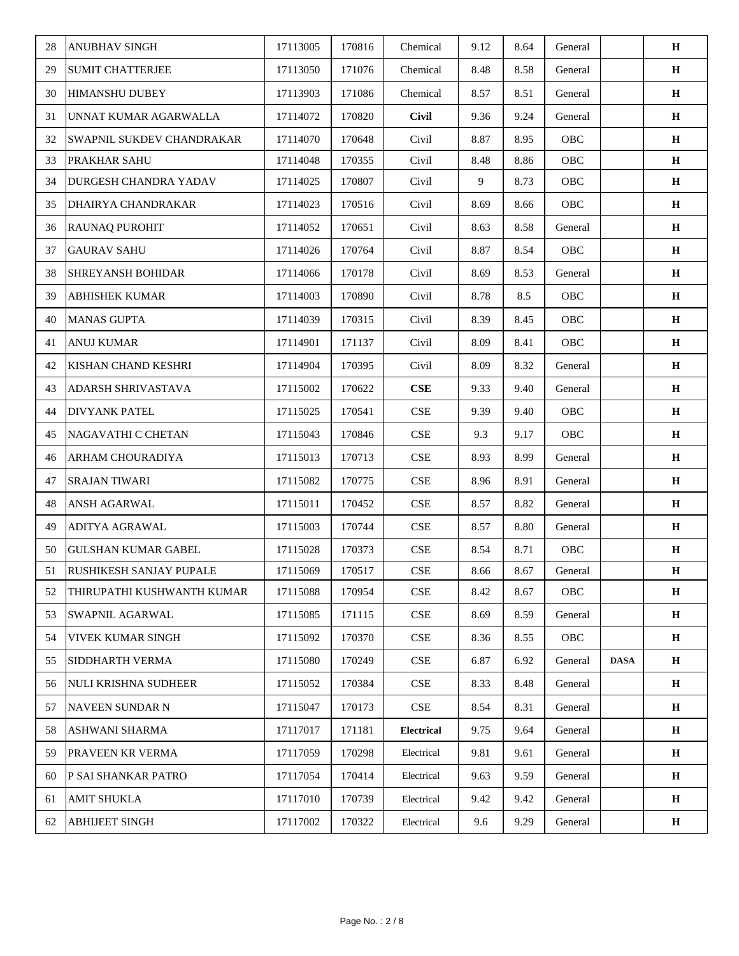| 28 | <b>ANUBHAV SINGH</b>           | 17113005 | 170816 | Chemical                    | 9.12 | 8.64 | General    |             | H           |
|----|--------------------------------|----------|--------|-----------------------------|------|------|------------|-------------|-------------|
| 29 | <b>SUMIT CHATTERJEE</b>        | 17113050 | 171076 | Chemical                    | 8.48 | 8.58 | General    |             | $\mathbf H$ |
| 30 | HIMANSHU DUBEY                 | 17113903 | 171086 | Chemical                    | 8.57 | 8.51 | General    |             | H           |
| 31 | UNNAT KUMAR AGARWALLA          | 17114072 | 170820 | <b>Civil</b>                | 9.36 | 9.24 | General    |             | $\mathbf H$ |
| 32 | SWAPNIL SUKDEV CHANDRAKAR      | 17114070 | 170648 | Civil                       | 8.87 | 8.95 | OBC        |             | $\mathbf H$ |
| 33 | PRAKHAR SAHU                   | 17114048 | 170355 | Civil                       | 8.48 | 8.86 | OBC        |             | $\mathbf H$ |
| 34 | <b>DURGESH CHANDRA YADAV</b>   | 17114025 | 170807 | Civil                       | 9    | 8.73 | OBC        |             | $\mathbf H$ |
| 35 | DHAIRYA CHANDRAKAR             | 17114023 | 170516 | Civil                       | 8.69 | 8.66 | OBC        |             | $\mathbf H$ |
| 36 | RAUNAQ PUROHIT                 | 17114052 | 170651 | Civil                       | 8.63 | 8.58 | General    |             | $\mathbf H$ |
| 37 | <b>GAURAV SAHU</b>             | 17114026 | 170764 | Civil                       | 8.87 | 8.54 | OBC        |             | $\bf H$     |
| 38 | <b>SHREYANSH BOHIDAR</b>       | 17114066 | 170178 | Civil                       | 8.69 | 8.53 | General    |             | $\mathbf H$ |
| 39 | ABHISHEK KUMAR                 | 17114003 | 170890 | Civil                       | 8.78 | 8.5  | OBC        |             | $\mathbf H$ |
| 40 | <b>MANAS GUPTA</b>             | 17114039 | 170315 | Civil                       | 8.39 | 8.45 | OBC        |             | $\mathbf H$ |
| 41 | <b>ANUJ KUMAR</b>              | 17114901 | 171137 | Civil                       | 8.09 | 8.41 | OBC        |             | $\mathbf H$ |
| 42 | KISHAN CHAND KESHRI            | 17114904 | 170395 | Civil                       | 8.09 | 8.32 | General    |             | $\bf H$     |
| 43 | ADARSH SHRIVASTAVA             | 17115002 | 170622 | CSE                         | 9.33 | 9.40 | General    |             | $\mathbf H$ |
| 44 | <b>DIVYANK PATEL</b>           | 17115025 | 170541 | CSE                         | 9.39 | 9.40 | OBC        |             | H           |
| 45 | NAGAVATHI C CHETAN             | 17115043 | 170846 | <b>CSE</b>                  | 9.3  | 9.17 | OBC        |             | H           |
| 46 | ARHAM CHOURADIYA               | 17115013 | 170713 | $\ensuremath{\mathsf{CSE}}$ | 8.93 | 8.99 | General    |             | $\mathbf H$ |
| 47 | <b>SRAJAN TIWARI</b>           | 17115082 | 170775 | $\ensuremath{\mathsf{CSE}}$ | 8.96 | 8.91 | General    |             | $\mathbf H$ |
| 48 | ANSH AGARWAL                   | 17115011 | 170452 | $\ensuremath{\mathsf{CSE}}$ | 8.57 | 8.82 | General    |             | $\bf H$     |
| 49 | ADITYA AGRAWAL                 | 17115003 | 170744 | $\ensuremath{\mathsf{CSE}}$ | 8.57 | 8.80 | General    |             | $\mathbf H$ |
| 50 | <b>GULSHAN KUMAR GABEL</b>     | 17115028 | 170373 | $\ensuremath{\mathsf{CSE}}$ | 8.54 | 8.71 | OBC        |             | H           |
| 51 | <b>RUSHIKESH SANJAY PUPALE</b> | 17115069 | 170517 | $\ensuremath{\mathsf{CSE}}$ | 8.66 | 8.67 | General    |             | H           |
| 52 | THIRUPATHI KUSHWANTH KUMAR     | 17115088 | 170954 | <b>CSE</b>                  | 8.42 | 8.67 | OBC        |             | H           |
| 53 | SWAPNIL AGARWAL                | 17115085 | 171115 | <b>CSE</b>                  | 8.69 | 8.59 | General    |             | H           |
| 54 | VIVEK KUMAR SINGH              | 17115092 | 170370 | <b>CSE</b>                  | 8.36 | 8.55 | <b>OBC</b> |             | H           |
| 55 | SIDDHARTH VERMA                | 17115080 | 170249 | CSE                         | 6.87 | 6.92 | General    | <b>DASA</b> | H           |
| 56 | <b>NULI KRISHNA SUDHEER</b>    | 17115052 | 170384 | $\ensuremath{\mathsf{CSE}}$ | 8.33 | 8.48 | General    |             | $\mathbf H$ |
| 57 | <b>NAVEEN SUNDAR N</b>         | 17115047 | 170173 | <b>CSE</b>                  | 8.54 | 8.31 | General    |             | H           |
| 58 | ASHWANI SHARMA                 | 17117017 | 171181 | <b>Electrical</b>           | 9.75 | 9.64 | General    |             | H           |
| 59 | PRAVEEN KR VERMA               | 17117059 | 170298 | Electrical                  | 9.81 | 9.61 | General    |             | H           |
| 60 | P SAI SHANKAR PATRO            | 17117054 | 170414 | Electrical                  | 9.63 | 9.59 | General    |             | H           |
| 61 | <b>AMIT SHUKLA</b>             | 17117010 | 170739 | Electrical                  | 9.42 | 9.42 | General    |             | H           |
| 62 | <b>ABHIJEET SINGH</b>          | 17117002 | 170322 | Electrical                  | 9.6  | 9.29 | General    |             | $\mathbf H$ |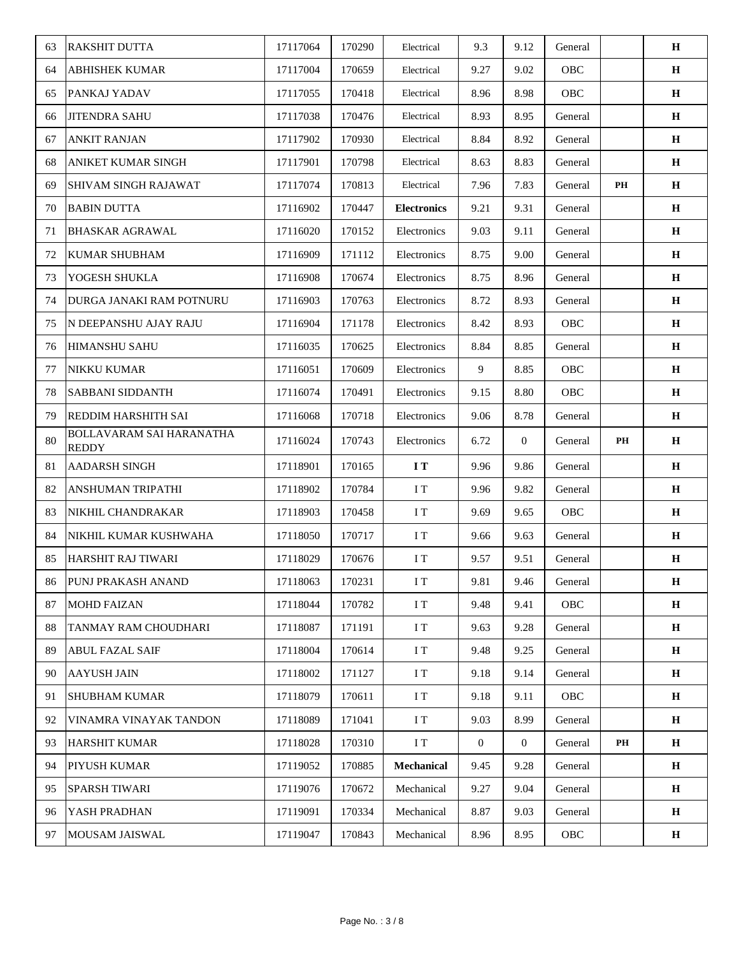| 63 | <b>RAKSHIT DUTTA</b>                     | 17117064 | 170290 | Electrical         | 9.3              | 9.12         | General |    | $\mathbf H$ |
|----|------------------------------------------|----------|--------|--------------------|------------------|--------------|---------|----|-------------|
| 64 | <b>ABHISHEK KUMAR</b>                    | 17117004 | 170659 | Electrical         | 9.27             | 9.02         | OBC     |    | $\mathbf H$ |
| 65 | PANKAJ YADAV                             | 17117055 | 170418 | Electrical         | 8.96             | 8.98         | OBC     |    | H           |
| 66 | <b>JITENDRA SAHU</b>                     | 17117038 | 170476 | Electrical         | 8.93             | 8.95         | General |    | H           |
| 67 | <b>ANKIT RANJAN</b>                      | 17117902 | 170930 | Electrical         | 8.84             | 8.92         | General |    | H           |
| 68 | <b>ANIKET KUMAR SINGH</b>                | 17117901 | 170798 | Electrical         | 8.63             | 8.83         | General |    | $\mathbf H$ |
| 69 | <b>SHIVAM SINGH RAJAWAT</b>              | 17117074 | 170813 | Electrical         | 7.96             | 7.83         | General | PH | $\mathbf H$ |
| 70 | <b>BABIN DUTTA</b>                       | 17116902 | 170447 | <b>Electronics</b> | 9.21             | 9.31         | General |    | H           |
| 71 | <b>BHASKAR AGRAWAL</b>                   | 17116020 | 170152 | Electronics        | 9.03             | 9.11         | General |    | H           |
| 72 | <b>KUMAR SHUBHAM</b>                     | 17116909 | 171112 | Electronics        | 8.75             | 9.00         | General |    | H           |
| 73 | YOGESH SHUKLA                            | 17116908 | 170674 | Electronics        | 8.75             | 8.96         | General |    | H           |
| 74 | DURGA JANAKI RAM POTNURU                 | 17116903 | 170763 | Electronics        | 8.72             | 8.93         | General |    | $\mathbf H$ |
| 75 | N DEEPANSHU AJAY RAJU                    | 17116904 | 171178 | Electronics        | 8.42             | 8.93         | OBC     |    | $\mathbf H$ |
| 76 | <b>HIMANSHU SAHU</b>                     | 17116035 | 170625 | Electronics        | 8.84             | 8.85         | General |    | H           |
| 77 | <b>NIKKU KUMAR</b>                       | 17116051 | 170609 | Electronics        | 9                | 8.85         | OBC     |    | $\mathbf H$ |
| 78 | <b>SABBANI SIDDANTH</b>                  | 17116074 | 170491 | Electronics        | 9.15             | 8.80         | OBC     |    | H           |
| 79 | <b>REDDIM HARSHITH SAI</b>               | 17116068 | 170718 | Electronics        | 9.06             | 8.78         | General |    | $\mathbf H$ |
| 80 | BOLLAVARAM SAI HARANATHA<br><b>REDDY</b> | 17116024 | 170743 | Electronics        | 6.72             | $\mathbf{0}$ | General | PH | H           |
| 81 | <b>AADARSH SINGH</b>                     | 17118901 | 170165 | I T                | 9.96             | 9.86         | General |    | $\mathbf H$ |
| 82 | <b>ANSHUMAN TRIPATHI</b>                 | 17118902 | 170784 | I T                | 9.96             | 9.82         | General |    | H           |
| 83 | NIKHIL CHANDRAKAR                        | 17118903 | 170458 | I T                | 9.69             | 9.65         | OBC     |    | H           |
| 84 | NIKHIL KUMAR KUSHWAHA                    | 17118050 | 170717 | I T                | 9.66             | 9.63         | General |    | H           |
| 85 | HARSHIT RAJ TIWARI                       | 17118029 | 170676 | I T                | 9.57             | 9.51         | General |    | $\bf H$     |
| 86 | PUNJ PRAKASH ANAND                       | 17118063 | 170231 | $\rm I$ T          | 9.81             | 9.46         | General |    | $\mathbf H$ |
| 87 | <b>MOHD FAIZAN</b>                       | 17118044 | 170782 | I T                | 9.48             | 9.41         | OBC     |    | $\mathbf H$ |
| 88 | <b>TANMAY RAM CHOUDHARI</b>              | 17118087 | 171191 | I T                | 9.63             | 9.28         | General |    | $\mathbf H$ |
| 89 | <b>ABUL FAZAL SAIF</b>                   | 17118004 | 170614 | I T                | 9.48             | 9.25         | General |    | H           |
| 90 | <b>AAYUSH JAIN</b>                       | 17118002 | 171127 | I T                | 9.18             | 9.14         | General |    | Н           |
| 91 | <b>SHUBHAM KUMAR</b>                     | 17118079 | 170611 | I T                | 9.18             | 9.11         | OBC     |    | H           |
| 92 | VINAMRA VINAYAK TANDON                   | 17118089 | 171041 | I T                | 9.03             | 8.99         | General |    | H           |
| 93 | <b>HARSHIT KUMAR</b>                     | 17118028 | 170310 | I T                | $\boldsymbol{0}$ | $\mathbf{0}$ | General | PH | $\mathbf H$ |
| 94 | <b>PIYUSH KUMAR</b>                      | 17119052 | 170885 | Mechanical         | 9.45             | 9.28         | General |    | H           |
| 95 | <b>SPARSH TIWARI</b>                     | 17119076 | 170672 | Mechanical         | 9.27             | 9.04         | General |    | H           |
| 96 | YASH PRADHAN                             | 17119091 | 170334 | Mechanical         | 8.87             | 9.03         | General |    | H           |
| 97 | <b>MOUSAM JAISWAL</b>                    | 17119047 | 170843 | Mechanical         | 8.96             | 8.95         | OBC     |    | $\mathbf H$ |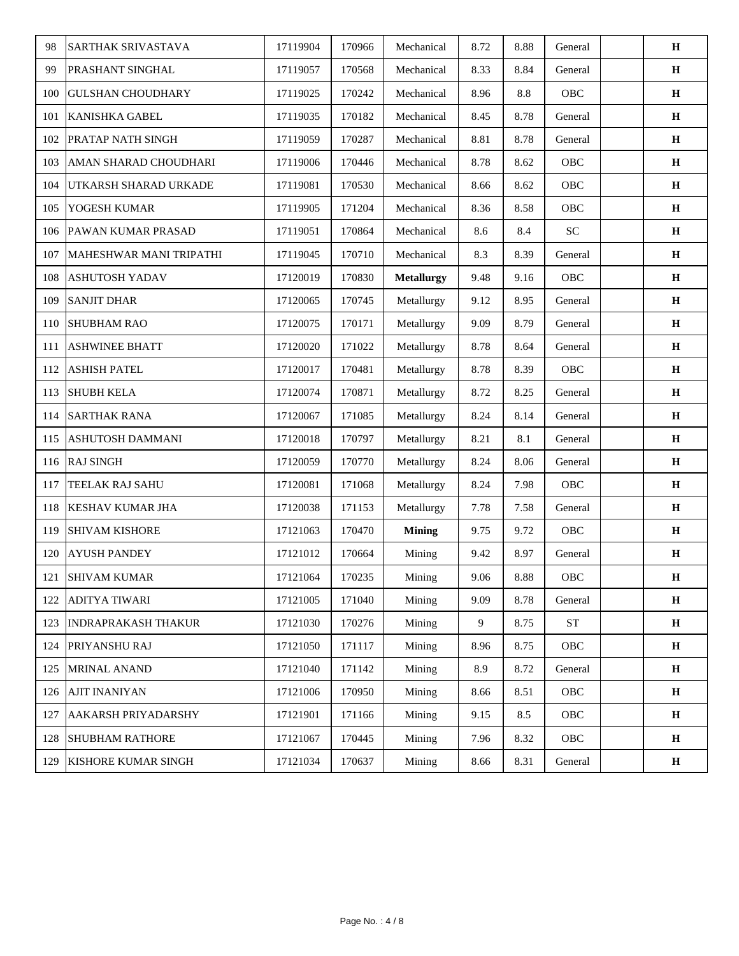| 98  | <b>SARTHAK SRIVASTAVA</b>  | 17119904 | 170966 | Mechanical        | 8.72 | 8.88 | General    | H            |
|-----|----------------------------|----------|--------|-------------------|------|------|------------|--------------|
| 99  | <b>PRASHANT SINGHAL</b>    | 17119057 | 170568 | Mechanical        | 8.33 | 8.84 | General    | H            |
| 100 | <b>GULSHAN CHOUDHARY</b>   | 17119025 | 170242 | Mechanical        | 8.96 | 8.8  | OBC        | $\mathbf H$  |
| 101 | <b>KANISHKA GABEL</b>      | 17119035 | 170182 | Mechanical        | 8.45 | 8.78 | General    | H            |
| 102 | PRATAP NATH SINGH          | 17119059 | 170287 | Mechanical        | 8.81 | 8.78 | General    | $\mathbf H$  |
| 103 | AMAN SHARAD CHOUDHARI      | 17119006 | 170446 | Mechanical        | 8.78 | 8.62 | OBC        | H            |
| 104 | UTKARSH SHARAD URKADE      | 17119081 | 170530 | Mechanical        | 8.66 | 8.62 | OBC        | $\mathbf H$  |
| 105 | YOGESH KUMAR               | 17119905 | 171204 | Mechanical        | 8.36 | 8.58 | OBC        | $\mathbf H$  |
| 106 | <b>PAWAN KUMAR PRASAD</b>  | 17119051 | 170864 | Mechanical        | 8.6  | 8.4  | <b>SC</b>  | Н            |
| 107 | MAHESHWAR MANI TRIPATHI    | 17119045 | 170710 | Mechanical        | 8.3  | 8.39 | General    | $\mathbf H$  |
| 108 | <b>ASHUTOSH YADAV</b>      | 17120019 | 170830 | <b>Metallurgy</b> | 9.48 | 9.16 | OBC        | $\mathbf H$  |
| 109 | <b>SANJIT DHAR</b>         | 17120065 | 170745 | Metallurgy        | 9.12 | 8.95 | General    | H            |
| 110 | <b>SHUBHAM RAO</b>         | 17120075 | 170171 | Metallurgy        | 9.09 | 8.79 | General    | $\mathbf H$  |
| 111 | <b>ASHWINEE BHATT</b>      | 17120020 | 171022 | Metallurgy        | 8.78 | 8.64 | General    | $\mathbf H$  |
| 112 | <b>ASHISH PATEL</b>        | 17120017 | 170481 | Metallurgy        | 8.78 | 8.39 | OBC        | $\mathbf H$  |
| 113 | <b>SHUBH KELA</b>          | 17120074 | 170871 | Metallurgy        | 8.72 | 8.25 | General    | $\mathbf H$  |
| 114 | <b>SARTHAK RANA</b>        | 17120067 | 171085 | Metallurgy        | 8.24 | 8.14 | General    | H            |
| 115 | ASHUTOSH DAMMANI           | 17120018 | 170797 | Metallurgy        | 8.21 | 8.1  | General    | $\mathbf H$  |
| 116 | <b>RAJ SINGH</b>           | 17120059 | 170770 | Metallurgy        | 8.24 | 8.06 | General    | H            |
| 117 | TEELAK RAJ SAHU            | 17120081 | 171068 | Metallurgy        | 8.24 | 7.98 | OBC        | H            |
| 118 | <b>KESHAV KUMAR JHA</b>    | 17120038 | 171153 | Metallurgy        | 7.78 | 7.58 | General    | $\mathbf H$  |
| 119 | <b>SHIVAM KISHORE</b>      | 17121063 | 170470 | <b>Mining</b>     | 9.75 | 9.72 | OBC        | $\mathbf H$  |
| 120 | <b>AYUSH PANDEY</b>        | 17121012 | 170664 | Mining            | 9.42 | 8.97 | General    | $\, {\bf H}$ |
| 121 | <b>SHIVAM KUMAR</b>        | 17121064 | 170235 | Mining            | 9.06 | 8.88 | OBC        | $\bf H$      |
| 122 | <b>ADITYA TIWARI</b>       | 17121005 | 171040 | Mining            | 9.09 | 8.78 | General    | $\mathbf H$  |
| 123 | <b>INDRAPRAKASH THAKUR</b> | 17121030 | 170276 | Mining            | 9    | 8.75 | ${\rm ST}$ | $\bf H$      |
| 124 | PRIYANSHU RAJ              | 17121050 | 171117 | Mining            | 8.96 | 8.75 | OBC        | $\mathbf H$  |
| 125 | MRINAL ANAND               | 17121040 | 171142 | Mining            | 8.9  | 8.72 | General    | $\mathbf H$  |
| 126 | <b>AJIT INANIYAN</b>       | 17121006 | 170950 | Mining            | 8.66 | 8.51 | OBC        | $\mathbf H$  |
| 127 | AAKARSH PRIYADARSHY        | 17121901 | 171166 | Mining            | 9.15 | 8.5  | OBC        | H            |
| 128 | <b>SHUBHAM RATHORE</b>     | 17121067 | 170445 | Mining            | 7.96 | 8.32 | OBC        | H            |
| 129 | <b>KISHORE KUMAR SINGH</b> | 17121034 | 170637 | Mining            | 8.66 | 8.31 | General    | $\mathbf H$  |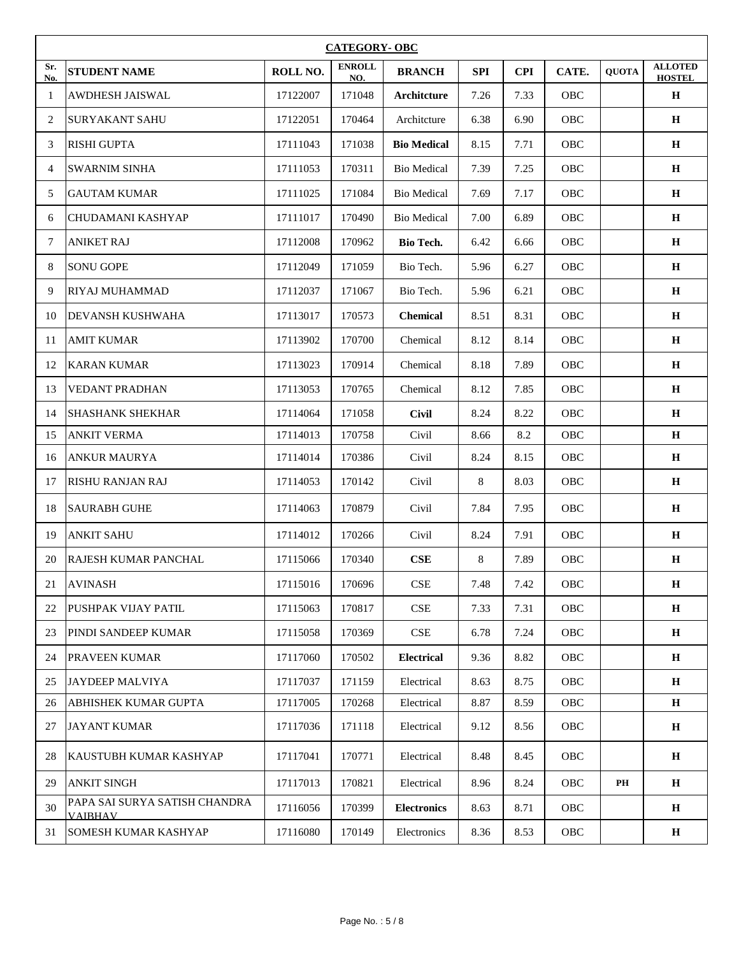|            | <b>CATEGORY- OBC</b>                            |          |                      |                             |            |            |            |              |                                 |  |
|------------|-------------------------------------------------|----------|----------------------|-----------------------------|------------|------------|------------|--------------|---------------------------------|--|
| Sr.<br>No. | <b>STUDENT NAME</b>                             | ROLL NO. | <b>ENROLL</b><br>NO. | <b>BRANCH</b>               | <b>SPI</b> | <b>CPI</b> | CATE.      | <b>QUOTA</b> | <b>ALLOTED</b><br><b>HOSTEL</b> |  |
| 1          | <b>AWDHESH JAISWAL</b>                          | 17122007 | 171048               | Architcture                 | 7.26       | 7.33       | OBC        |              | $\mathbf H$                     |  |
| 2          | <b>SURYAKANT SAHU</b>                           | 17122051 | 170464               | Architcture                 | 6.38       | 6.90       | OBC        |              | $\mathbf H$                     |  |
| 3          | <b>RISHI GUPTA</b>                              | 17111043 | 171038               | <b>Bio Medical</b>          | 8.15       | 7.71       | OBC        |              | Н                               |  |
| 4          | <b>SWARNIM SINHA</b>                            | 17111053 | 170311               | <b>Bio Medical</b>          | 7.39       | 7.25       | OBC        |              | $\mathbf H$                     |  |
| 5          | <b>GAUTAM KUMAR</b>                             | 17111025 | 171084               | <b>Bio Medical</b>          | 7.69       | 7.17       | OBC        |              | $\mathbf H$                     |  |
| 6          | CHUDAMANI KASHYAP                               | 17111017 | 170490               | <b>Bio Medical</b>          | 7.00       | 6.89       | OBC        |              | H                               |  |
| 7          | <b>ANIKET RAJ</b>                               | 17112008 | 170962               | <b>Bio Tech.</b>            | 6.42       | 6.66       | <b>OBC</b> |              | H                               |  |
| 8          | <b>SONU GOPE</b>                                | 17112049 | 171059               | Bio Tech.                   | 5.96       | 6.27       | OBC        |              | H                               |  |
| 9          | <b>RIYAJ MUHAMMAD</b>                           | 17112037 | 171067               | Bio Tech.                   | 5.96       | 6.21       | OBC        |              | H                               |  |
| 10         | <b>DEVANSH KUSHWAHA</b>                         | 17113017 | 170573               | <b>Chemical</b>             | 8.51       | 8.31       | OBC        |              | $\mathbf H$                     |  |
| 11         | <b>AMIT KUMAR</b>                               | 17113902 | 170700               | Chemical                    | 8.12       | 8.14       | OBC        |              | $\mathbf H$                     |  |
| 12         | <b>KARAN KUMAR</b>                              | 17113023 | 170914               | Chemical                    | 8.18       | 7.89       | OBC        |              | $\mathbf H$                     |  |
| 13         | <b>VEDANT PRADHAN</b>                           | 17113053 | 170765               | Chemical                    | 8.12       | 7.85       | OBC        |              | Н                               |  |
| 14         | <b>SHASHANK SHEKHAR</b>                         | 17114064 | 171058               | <b>Civil</b>                | 8.24       | 8.22       | OBC        |              | $\mathbf H$                     |  |
| 15         | <b>ANKIT VERMA</b>                              | 17114013 | 170758               | Civil                       | 8.66       | 8.2        | OBC        |              | $\mathbf H$                     |  |
| 16         | <b>ANKUR MAURYA</b>                             | 17114014 | 170386               | Civil                       | 8.24       | 8.15       | OBC        |              | $\mathbf H$                     |  |
| 17         | <b>RISHU RANJAN RAJ</b>                         | 17114053 | 170142               | Civil                       | 8          | 8.03       | OBC        |              | H                               |  |
| 18         | <b>SAURABH GUHE</b>                             | 17114063 | 170879               | Civil                       | 7.84       | 7.95       | OBC        |              | H                               |  |
| 19         | <b>ANKIT SAHU</b>                               | 17114012 | 170266               | Civil                       | 8.24       | 7.91       | OBC        |              | H                               |  |
| 20         | RAJESH KUMAR PANCHAL                            | 17115066 | 170340               | CSE                         | 8          | 7.89       | OBC        |              | $\mathbf H$                     |  |
| 21         | <b>AVINASH</b>                                  | 17115016 | 170696               | CSE                         | 7.48       | 7.42       | OBC        |              | $\mathbf H$                     |  |
| 22         | PUSHPAK VIJAY PATIL                             | 17115063 | 170817               | <b>CSE</b>                  | 7.33       | 7.31       | OBC        |              | H                               |  |
| 23         | PINDI SANDEEP KUMAR                             | 17115058 | 170369               | $\ensuremath{\mathsf{CSE}}$ | 6.78       | 7.24       | <b>OBC</b> |              | H                               |  |
| 24         | <b>PRAVEEN KUMAR</b>                            | 17117060 | 170502               | <b>Electrical</b>           | 9.36       | 8.82       | OBC        |              | H                               |  |
| 25         | <b>JAYDEEP MALVIYA</b>                          | 17117037 | 171159               | Electrical                  | 8.63       | 8.75       | <b>OBC</b> |              | H                               |  |
| 26         | ABHISHEK KUMAR GUPTA                            | 17117005 | 170268               | Electrical                  | 8.87       | 8.59       | OBC        |              | $\mathbf H$                     |  |
| 27         | <b>JAYANT KUMAR</b>                             | 17117036 | 171118               | Electrical                  | 9.12       | 8.56       | OBC        |              | H                               |  |
| 28         | KAUSTUBH KUMAR KASHYAP                          | 17117041 | 170771               | Electrical                  | 8.48       | 8.45       | OBC        |              | $\bf H$                         |  |
| 29         | <b>ANKIT SINGH</b>                              | 17117013 | 170821               | Electrical                  | 8.96       | 8.24       | OBC        | PH           | H                               |  |
| 30         | PAPA SAI SURYA SATISH CHANDRA<br><b>VAIBHAV</b> | 17116056 | 170399               | <b>Electronics</b>          | 8.63       | 8.71       | OBC        |              | H                               |  |
| 31         | <b>SOMESH KUMAR KASHYAP</b>                     | 17116080 | 170149               | Electronics                 | 8.36       | 8.53       | OBC        |              | H                               |  |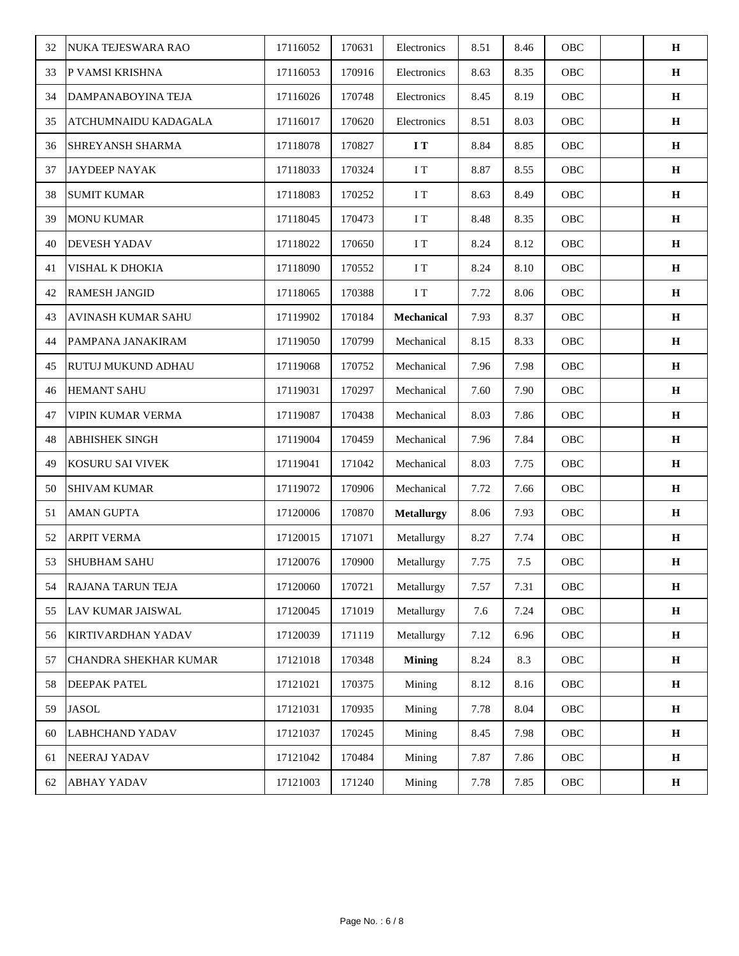| 32 | NUKA TEJESWARA RAO        | 17116052 | 170631 | Electronics       | 8.51 | 8.46 | OBC | $\mathbf H$  |
|----|---------------------------|----------|--------|-------------------|------|------|-----|--------------|
| 33 | P VAMSI KRISHNA           | 17116053 | 170916 | Electronics       | 8.63 | 8.35 | OBC | H            |
| 34 | DAMPANABOYINA TEJA        | 17116026 | 170748 | Electronics       | 8.45 | 8.19 | OBC | $\mathbf H$  |
| 35 | ATCHUMNAIDU KADAGALA      | 17116017 | 170620 | Electronics       | 8.51 | 8.03 | OBC | $\mathbf H$  |
| 36 | <b>SHREYANSH SHARMA</b>   | 17118078 | 170827 | $\bf I$ T         | 8.84 | 8.85 | OBC | H            |
| 37 | <b>JAYDEEP NAYAK</b>      | 17118033 | 170324 | I T               | 8.87 | 8.55 | OBC | H            |
| 38 | <b>SUMIT KUMAR</b>        | 17118083 | 170252 | I T               | 8.63 | 8.49 | OBC | $\mathbf H$  |
| 39 | <b>MONU KUMAR</b>         | 17118045 | 170473 | I T               | 8.48 | 8.35 | OBC | $\mathbf H$  |
| 40 | <b>DEVESH YADAV</b>       | 17118022 | 170650 | I T               | 8.24 | 8.12 | OBC | $\mathbf H$  |
| 41 | VISHAL K DHOKIA           | 17118090 | 170552 | I T               | 8.24 | 8.10 | OBC | $\mathbf H$  |
| 42 | <b>RAMESH JANGID</b>      | 17118065 | 170388 | I T               | 7.72 | 8.06 | OBC | $\mathbf H$  |
| 43 | <b>AVINASH KUMAR SAHU</b> | 17119902 | 170184 | Mechanical        | 7.93 | 8.37 | OBC | H            |
| 44 | PAMPANA JANAKIRAM         | 17119050 | 170799 | Mechanical        | 8.15 | 8.33 | OBC | $\mathbf H$  |
| 45 | <b>RUTUJ MUKUND ADHAU</b> | 17119068 | 170752 | Mechanical        | 7.96 | 7.98 | OBC | $\bf H$      |
| 46 | <b>HEMANT SAHU</b>        | 17119031 | 170297 | Mechanical        | 7.60 | 7.90 | OBC | $\mathbf H$  |
| 47 | <b>VIPIN KUMAR VERMA</b>  | 17119087 | 170438 | Mechanical        | 8.03 | 7.86 | OBC | $\mathbf H$  |
| 48 | <b>ABHISHEK SINGH</b>     | 17119004 | 170459 | Mechanical        | 7.96 | 7.84 | OBC | $\bf H$      |
| 49 | KOSURU SAI VIVEK          | 17119041 | 171042 | Mechanical        | 8.03 | 7.75 | OBC | H            |
| 50 | <b>SHIVAM KUMAR</b>       | 17119072 | 170906 | Mechanical        | 7.72 | 7.66 | OBC | $\mathbf H$  |
| 51 | <b>AMAN GUPTA</b>         | 17120006 | 170870 | <b>Metallurgy</b> | 8.06 | 7.93 | OBC | H            |
| 52 | <b>ARPIT VERMA</b>        | 17120015 | 171071 | Metallurgy        | 8.27 | 7.74 | OBC | $\bf H$      |
| 53 | <b>SHUBHAM SAHU</b>       | 17120076 | 170900 | Metallurgy        | 7.75 | 7.5  | OBC | $\, {\bf H}$ |
| 54 | <b>RAJANA TARUN TEJA</b>  | 17120060 | 170721 | Metallurgy        | 7.57 | 7.31 | OBC | $\mathbf H$  |
| 55 | <b>LAV KUMAR JAISWAL</b>  | 17120045 | 171019 | Metallurgy        | 7.6  | 7.24 | OBC | $\mathbf H$  |
| 56 | KIRTIVARDHAN YADAV        | 17120039 | 171119 | Metallurgy        | 7.12 | 6.96 | OBC | $\mathbf H$  |
| 57 | CHANDRA SHEKHAR KUMAR     | 17121018 | 170348 | <b>Mining</b>     | 8.24 | 8.3  | OBC | $\mathbf H$  |
| 58 | <b>DEEPAK PATEL</b>       | 17121021 | 170375 | Mining            | 8.12 | 8.16 | OBC | $\mathbf H$  |
| 59 | <b>JASOL</b>              | 17121031 | 170935 | Mining            | 7.78 | 8.04 | OBC | $\mathbf H$  |
| 60 | <b>LABHCHAND YADAV</b>    | 17121037 | 170245 | Mining            | 8.45 | 7.98 | OBC | $\mathbf H$  |
| 61 | NEERAJ YADAV              | 17121042 | 170484 | Mining            | 7.87 | 7.86 | OBC | $\mathbf H$  |
| 62 | <b>ABHAY YADAV</b>        | 17121003 | 171240 | Mining            | 7.78 | 7.85 | OBC | $\mathbf H$  |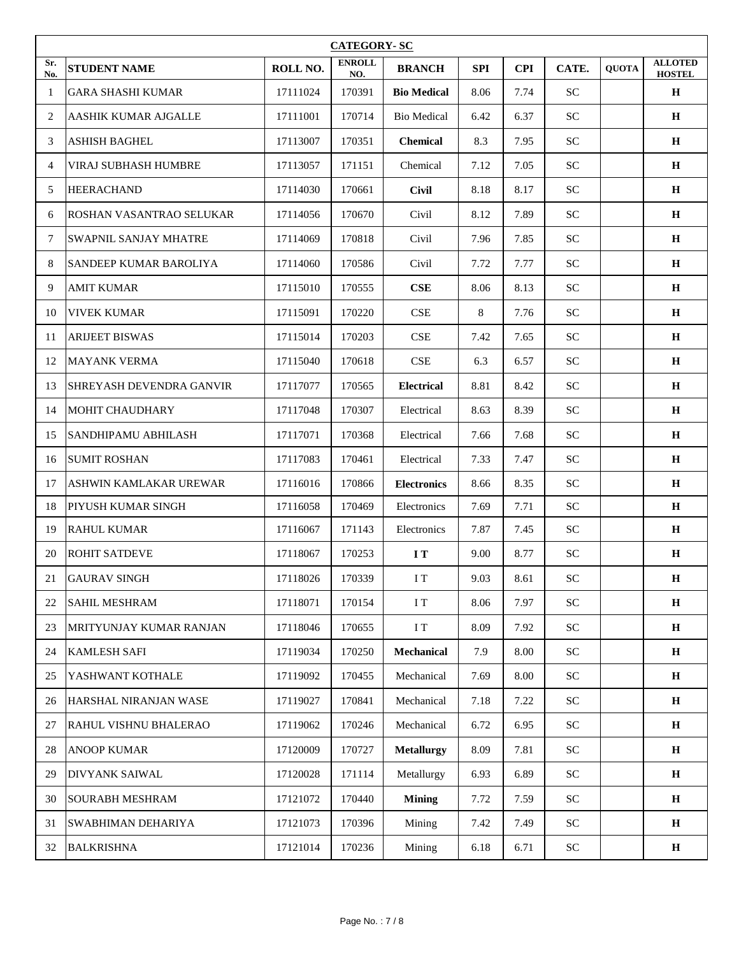|            | <b>CATEGORY-SC</b>            |          |                      |                    |            |            |            |              |                                 |  |
|------------|-------------------------------|----------|----------------------|--------------------|------------|------------|------------|--------------|---------------------------------|--|
| Sr.<br>No. | <b>STUDENT NAME</b>           | ROLL NO. | <b>ENROLL</b><br>NO. | <b>BRANCH</b>      | <b>SPI</b> | <b>CPI</b> | CATE.      | <b>OUOTA</b> | <b>ALLOTED</b><br><b>HOSTEL</b> |  |
| 1          | <b>GARA SHASHI KUMAR</b>      | 17111024 | 170391               | <b>Bio Medical</b> | 8.06       | 7.74       | <b>SC</b>  |              | $\mathbf H$                     |  |
| 2          | AASHIK KUMAR AJGALLE          | 17111001 | 170714               | <b>Bio Medical</b> | 6.42       | 6.37       | <b>SC</b>  |              | H                               |  |
| 3          | <b>ASHISH BAGHEL</b>          | 17113007 | 170351               | <b>Chemical</b>    | 8.3        | 7.95       | <b>SC</b>  |              | H                               |  |
| 4          | VIRAJ SUBHASH HUMBRE          | 17113057 | 171151               | Chemical           | 7.12       | 7.05       | <b>SC</b>  |              | $\mathbf H$                     |  |
| 5          | <b>HEERACHAND</b>             | 17114030 | 170661               | <b>Civil</b>       | 8.18       | 8.17       | <b>SC</b>  |              | $\mathbf H$                     |  |
| 6          | ROSHAN VASANTRAO SELUKAR      | 17114056 | 170670               | Civil              | 8.12       | 7.89       | ${\rm SC}$ |              | $\mathbf H$                     |  |
| 7          | SWAPNIL SANJAY MHATRE         | 17114069 | 170818               | Civil              | 7.96       | 7.85       | <b>SC</b>  |              | H                               |  |
| 8          | <b>SANDEEP KUMAR BAROLIYA</b> | 17114060 | 170586               | Civil              | 7.72       | 7.77       | <b>SC</b>  |              | $\bf H$                         |  |
| 9          | <b>AMIT KUMAR</b>             | 17115010 | 170555               | CSE                | 8.06       | 8.13       | ${\rm SC}$ |              | H                               |  |
| 10         | <b>VIVEK KUMAR</b>            | 17115091 | 170220               | CSE                | 8          | 7.76       | <b>SC</b>  |              | $\bf H$                         |  |
| 11         | <b>ARIJEET BISWAS</b>         | 17115014 | 170203               | <b>CSE</b>         | 7.42       | 7.65       | <b>SC</b>  |              | $\mathbf H$                     |  |
| 12         | <b>MAYANK VERMA</b>           | 17115040 | 170618               | <b>CSE</b>         | 6.3        | 6.57       | <b>SC</b>  |              | $\mathbf H$                     |  |
| 13         | SHREYASH DEVENDRA GANVIR      | 17117077 | 170565               | <b>Electrical</b>  | 8.81       | 8.42       | ${\rm SC}$ |              | $\mathbf H$                     |  |
| 14         | <b>MOHIT CHAUDHARY</b>        | 17117048 | 170307               | Electrical         | 8.63       | 8.39       | <b>SC</b>  |              | H                               |  |
| 15         | SANDHIPAMU ABHILASH           | 17117071 | 170368               | Electrical         | 7.66       | 7.68       | ${\rm SC}$ |              | H                               |  |
| 16         | <b>SUMIT ROSHAN</b>           | 17117083 | 170461               | Electrical         | 7.33       | 7.47       | <b>SC</b>  |              | H                               |  |
| 17         | ASHWIN KAMLAKAR UREWAR        | 17116016 | 170866               | <b>Electronics</b> | 8.66       | 8.35       | ${\rm SC}$ |              | H                               |  |
| 18         | PIYUSH KUMAR SINGH            | 17116058 | 170469               | Electronics        | 7.69       | 7.71       | <b>SC</b>  |              | $\bf H$                         |  |
| 19         | <b>RAHUL KUMAR</b>            | 17116067 | 171143               | Electronics        | 7.87       | 7.45       | <b>SC</b>  |              | $\mathbf H$                     |  |
| 20         | <b>ROHIT SATDEVE</b>          | 17118067 | 170253               | I T                | 9.00       | 8.77       | ${\rm SC}$ |              | $\mathbf H$                     |  |
| 21         | <b>GAURAV SINGH</b>           | 17118026 | 170339               | $\rm I$ T          | 9.03       | 8.61       | ${\rm SC}$ |              | $\bf{H}$                        |  |
| 22         | <b>SAHIL MESHRAM</b>          | 17118071 | 170154               | $\rm I~T$          | 8.06       | 7.97       | ${\rm SC}$ |              | H                               |  |
| 23         | MRITYUNJAY KUMAR RANJAN       | 17118046 | 170655               | I T                | 8.09       | 7.92       | ${\rm SC}$ |              | $\mathbf H$                     |  |
| 24         | <b>KAMLESH SAFI</b>           | 17119034 | 170250               | Mechanical         | 7.9        | 8.00       | <b>SC</b>  |              | $\mathbf H$                     |  |
| 25         | YASHWANT KOTHALE              | 17119092 | 170455               | Mechanical         | 7.69       | 8.00       | ${\rm SC}$ |              | $\bf H$                         |  |
| 26         | HARSHAL NIRANJAN WASE         | 17119027 | 170841               | Mechanical         | 7.18       | 7.22       | ${\rm SC}$ |              | $\mathbf H$                     |  |
| 27         | RAHUL VISHNU BHALERAO         | 17119062 | 170246               | Mechanical         | 6.72       | 6.95       | ${\rm SC}$ |              | $\mathbf H$                     |  |
| 28         | <b>ANOOP KUMAR</b>            | 17120009 | 170727               | <b>Metallurgy</b>  | 8.09       | 7.81       | ${\rm SC}$ |              | $\mathbf H$                     |  |
| 29         | DIVYANK SAIWAL                | 17120028 | 171114               | Metallurgy         | 6.93       | 6.89       | <b>SC</b>  |              | H                               |  |
| 30         | <b>SOURABH MESHRAM</b>        | 17121072 | 170440               | <b>Mining</b>      | 7.72       | 7.59       | ${\rm SC}$ |              | $\mathbf H$                     |  |
| 31         | SWABHIMAN DEHARIYA            | 17121073 | 170396               | Mining             | 7.42       | 7.49       | ${\rm SC}$ |              | $\mathbf H$                     |  |
| 32         | <b>BALKRISHNA</b>             | 17121014 | 170236               | Mining             | 6.18       | 6.71       | ${\rm SC}$ |              | $\mathbf H$                     |  |